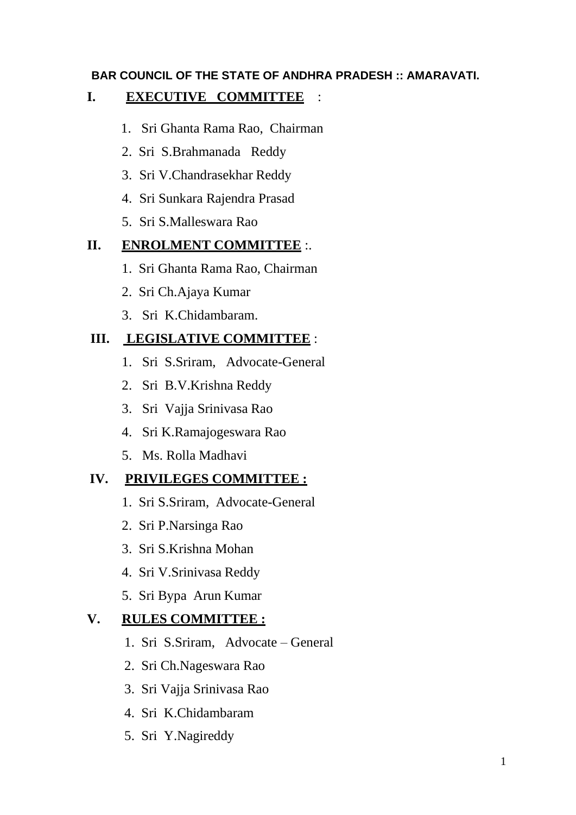### **BAR COUNCIL OF THE STATE OF ANDHRA PRADESH :: AMARAVATI.**

## **I. EXECUTIVE COMMITTEE** :

- 1. Sri Ghanta Rama Rao, Chairman
- 2. Sri S.Brahmanada Reddy
- 3. Sri V.Chandrasekhar Reddy
- 4. Sri Sunkara Rajendra Prasad
- 5. Sri S.Malleswara Rao

## **II. ENROLMENT COMMITTEE** :.

- 1. Sri Ghanta Rama Rao, Chairman
- 2. Sri Ch.Ajaya Kumar
- 3. Sri K.Chidambaram.

# **III. LEGISLATIVE COMMITTEE** :

- 1. Sri S.Sriram, Advocate-General
- 2. Sri B.V.Krishna Reddy
- 3. Sri Vajja Srinivasa Rao
- 4. Sri K.Ramajogeswara Rao
- 5. Ms. Rolla Madhavi

# **IV. PRIVILEGES COMMITTEE :**

- 1. Sri S.Sriram, Advocate-General
- 2. Sri P.Narsinga Rao
- 3. Sri S.Krishna Mohan
- 4. Sri V.Srinivasa Reddy
- 5. Sri Bypa Arun Kumar

# **V. RULES COMMITTEE :**

- 1. Sri S.Sriram, Advocate General
- 2. Sri Ch.Nageswara Rao
- 3. Sri Vajja Srinivasa Rao
- 4. Sri K.Chidambaram
- 5. Sri Y.Nagireddy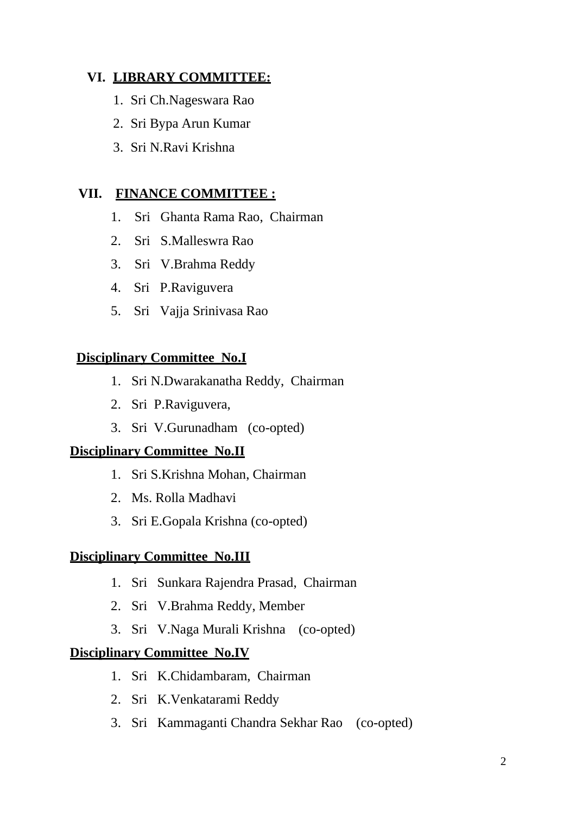# **VI. LIBRARY COMMITTEE:**

- 1. Sri Ch.Nageswara Rao
- 2. Sri Bypa Arun Kumar
- 3. Sri N.Ravi Krishna

## **VII. FINANCE COMMITTEE :**

- 1. Sri Ghanta Rama Rao, Chairman
- 2. Sri S.Malleswra Rao
- 3. Sri V.Brahma Reddy
- 4. Sri P.Raviguvera
- 5. Sri Vajja Srinivasa Rao

## **Disciplinary Committee No.I**

- 1. Sri N.Dwarakanatha Reddy, Chairman
- 2. Sri P.Raviguvera,
- 3. Sri V.Gurunadham (co-opted)

### **Disciplinary Committee No.II**

- 1. Sri S.Krishna Mohan, Chairman
- 2. Ms. Rolla Madhavi
- 3. Sri E.Gopala Krishna (co-opted)

### **Disciplinary Committee No.III**

- 1. Sri Sunkara Rajendra Prasad, Chairman
- 2. Sri V.Brahma Reddy, Member
- 3. Sri V.Naga Murali Krishna (co-opted)

### **Disciplinary Committee No.IV**

- 1. Sri K.Chidambaram, Chairman
- 2. Sri K.Venkatarami Reddy
- 3. Sri Kammaganti Chandra Sekhar Rao (co-opted)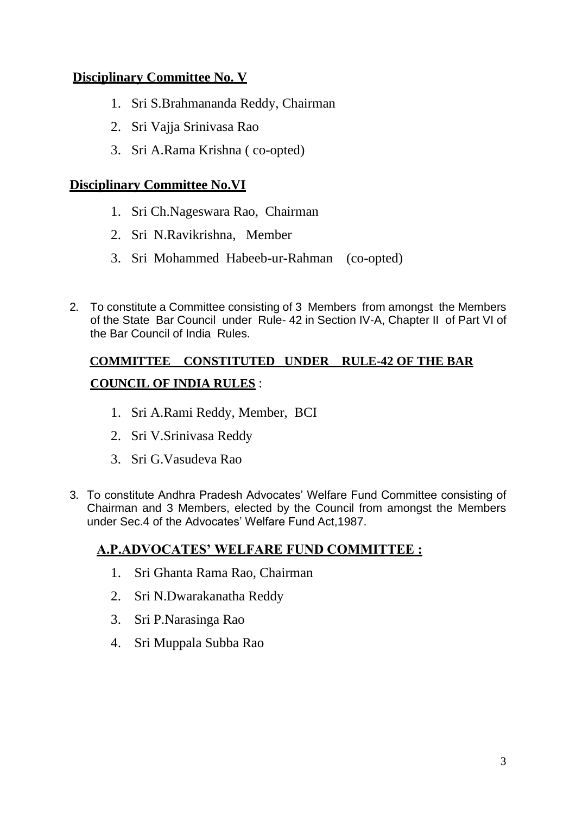## **Disciplinary Committee No. V**

- 1. Sri S.Brahmananda Reddy, Chairman
- 2. Sri Vajja Srinivasa Rao
- 3. Sri A.Rama Krishna ( co-opted)

## **Disciplinary Committee No.VI**

- 1. Sri Ch.Nageswara Rao, Chairman
- 2. Sri N.Ravikrishna, Member
- 3. Sri Mohammed Habeeb-ur-Rahman (co-opted)
- 2. To constitute a Committee consisting of 3 Members from amongst the Members of the State Bar Council under Rule- 42 in Section IV-A, Chapter II of Part VI of the Bar Council of India Rules.

# **COMMITTEE CONSTITUTED UNDER RULE-42 OF THE BAR COUNCIL OF INDIA RULES** :

- 1. Sri A.Rami Reddy, Member, BCI
- 2. Sri V.Srinivasa Reddy
- 3. Sri G.Vasudeva Rao
- 3. To constitute Andhra Pradesh Advocates' Welfare Fund Committee consisting of Chairman and 3 Members, elected by the Council from amongst the Members under Sec.4 of the Advocates' Welfare Fund Act,1987.

## **A.P.ADVOCATES' WELFARE FUND COMMITTEE :**

- 1. Sri Ghanta Rama Rao, Chairman
- 2. Sri N.Dwarakanatha Reddy
- 3. Sri P.Narasinga Rao
- 4. Sri Muppala Subba Rao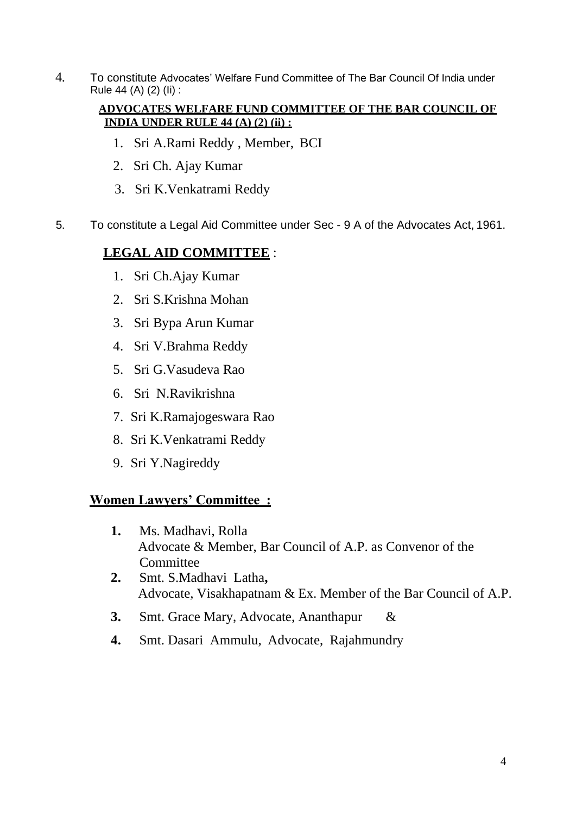4. To constitute Advocates' Welfare Fund Committee of The Bar Council Of India under Rule 44 (A) (2) (Ii) :

#### **ADVOCATES WELFARE FUND COMMITTEE OF THE BAR COUNCIL OF INDIA UNDER RULE 44 (A) (2) (ii) :**

- 1. Sri A.Rami Reddy , Member, BCI
- 2. Sri Ch. Ajay Kumar
- 3. Sri K.Venkatrami Reddy
- 5. To constitute a Legal Aid Committee under Sec 9 A of the Advocates Act, 1961.

## **LEGAL AID COMMITTEE** :

- 1. Sri Ch.Ajay Kumar
- 2. Sri S.Krishna Mohan
- 3. Sri Bypa Arun Kumar
- 4. Sri V.Brahma Reddy
- 5. Sri G.Vasudeva Rao
- 6. Sri N.Ravikrishna
- 7. Sri K.Ramajogeswara Rao
- 8. Sri K.Venkatrami Reddy
- 9. Sri Y.Nagireddy

### **Women Lawyers' Committee :**

- **1.** Ms. Madhavi, Rolla Advocate & Member, Bar Council of A.P. as Convenor of the **Committee**
- **2.** Smt. S.Madhavi Latha**,** Advocate, Visakhapatnam & Ex. Member of the Bar Council of A.P.
- **3.** Smt. Grace Mary, Advocate, Ananthapur &
- **4.** Smt. Dasari Ammulu, Advocate, Rajahmundry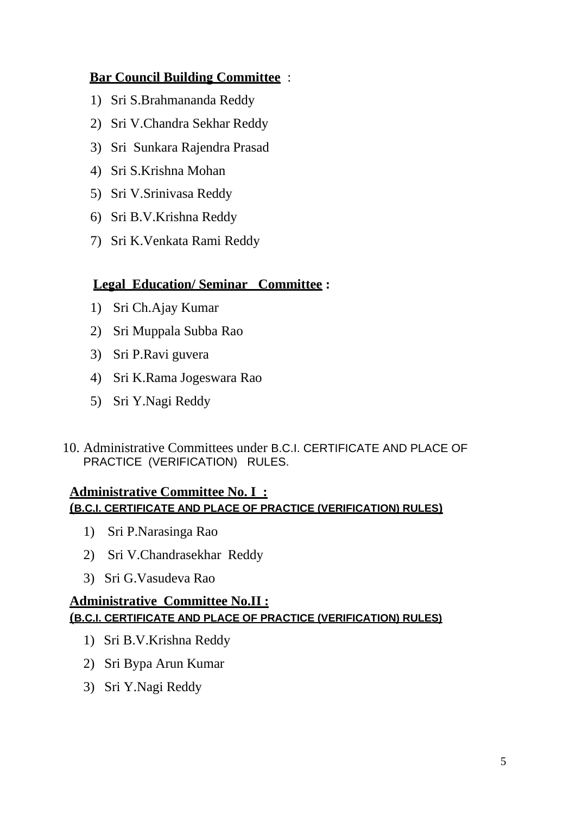## **Bar Council Building Committee** :

- 1) Sri S.Brahmananda Reddy
- 2) Sri V.Chandra Sekhar Reddy
- 3) Sri Sunkara Rajendra Prasad
- 4) Sri S.Krishna Mohan
- 5) Sri V.Srinivasa Reddy
- 6) Sri B.V.Krishna Reddy
- 7) Sri K.Venkata Rami Reddy

## **Legal Education/ Seminar Committee :**

- 1) Sri Ch.Ajay Kumar
- 2) Sri Muppala Subba Rao
- 3) Sri P.Ravi guvera
- 4) Sri K.Rama Jogeswara Rao
- 5) Sri Y.Nagi Reddy
- 10. Administrative Committees under B.C.I. CERTIFICATE AND PLACE OF PRACTICE (VERIFICATION) RULES.

### **Administrative Committee No. I : (B.C.I. CERTIFICATE AND PLACE OF PRACTICE (VERIFICATION) RULES)**

- 1) Sri P.Narasinga Rao
- 2) Sri V.Chandrasekhar Reddy
- 3) Sri G.Vasudeva Rao

### **Administrative Committee No.II : (B.C.I. CERTIFICATE AND PLACE OF PRACTICE (VERIFICATION) RULES)**

- 1) Sri B.V.Krishna Reddy
- 2) Sri Bypa Arun Kumar
- 3) Sri Y.Nagi Reddy